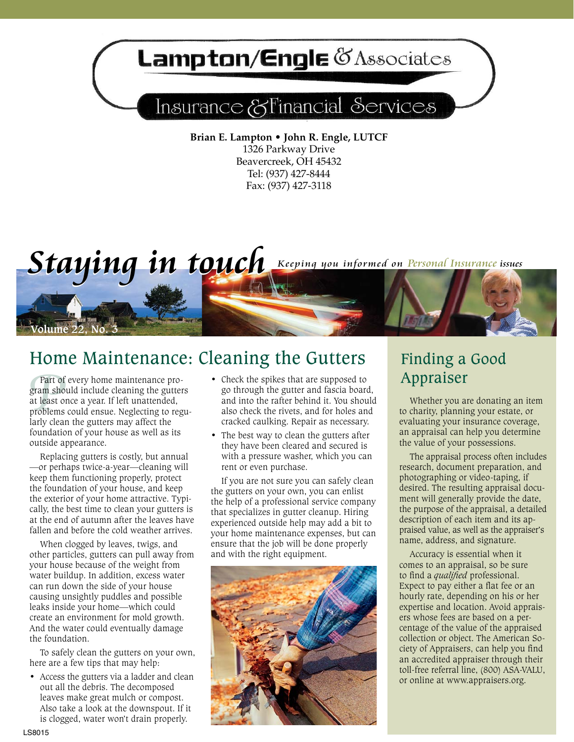## Lampton/Engle & Associates

## Insurance & Financial Services

**Brian E. Lampton • John R. Engle, LUTCF** 1326 Parkway Drive Beavercreek, OH 45432 Tel: (937) 427-8444 Fax: (937) 427-3118

*Staying in touch* Keeping you informed on Personal Insurance issues



Part of<br>gram shc<br>at least o<br>problems<br>larly clea Part of every home maintenance program should include cleaning the gutters at least once a year. If left unattended, problems could ensue. Neglecting to regularly clean the gutters may affect the foundation of your house as well as its outside appearance.

*<u>Olume 22</u>* No.

Replacing gutters is costly, but annual —or perhaps twice-a-year—cleaning will keep them functioning properly, protect the foundation of your house, and keep the exterior of your home attractive. Typically, the best time to clean your gutters is at the end of autumn after the leaves have fallen and before the cold weather arrives.

When clogged by leaves, twigs, and other particles, gutters can pull away from your house because of the weight from water buildup. In addition, excess water can run down the side of your house causing unsightly puddles and possible leaks inside your home—which could create an environment for mold growth. And the water could eventually damage the foundation.

To safely clean the gutters on your own, here are a few tips that may help:

• Access the gutters via a ladder and clean out all the debris. The decomposed leaves make great mulch or compost. Also take a look at the downspout. If it is clogged, water won't drain properly.

- Check the spikes that are supposed to go through the gutter and fascia board, and into the rafter behind it. You should also check the rivets, and for holes and cracked caulking. Repair as necessary.
- The best way to clean the gutters after they have been cleared and secured is with a pressure washer, which you can rent or even purchase.

If you are not sure you can safely clean the gutters on your own, you can enlist the help of a professional service company that specializes in gutter cleanup. Hiring experienced outside help may add a bit to your home maintenance expenses, but can ensure that the job will be done properly and with the right equipment.



## Finding a Good Appraiser

Whether you are donating an item to charity, planning your estate, or evaluating your insurance coverage, an appraisal can help you determine the value of your possessions.

The appraisal process often includes research, document preparation, and photographing or video-taping, if desired. The resulting appraisal document will generally provide the date, the purpose of the appraisal, a detailed description of each item and its appraised value, as well as the appraiser's name, address, and signature.

Accuracy is essential when it comes to an appraisal, so be sure to find a *qualified* professional. Expect to pay either a flat fee or an hourly rate, depending on his or her expertise and location. Avoid appraisers whose fees are based on a percentage of the value of the appraised collection or object. The American Society of Appraisers, can help you find an accredited appraiser through their toll-free referral line, (800) ASA-VALU, or online at www.appraisers.org.